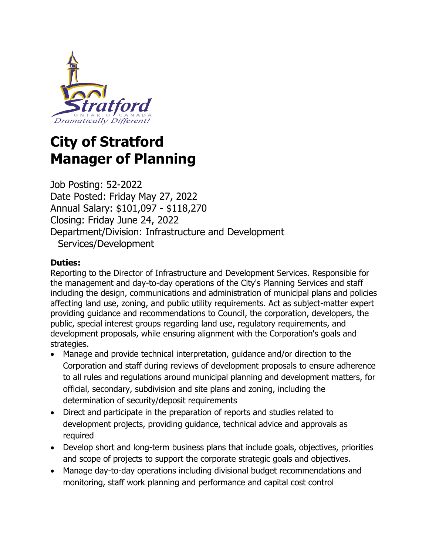

# **City of Stratford Manager of Planning**

Job Posting: 52-2022 Date Posted: Friday May 27, 2022 Annual Salary: \$101,097 - \$118,270 Closing: Friday June 24, 2022 Department/Division: Infrastructure and Development Services/Development

#### **Duties:**

Reporting to the Director of Infrastructure and Development Services. Responsible for the management and day-to-day operations of the City's Planning Services and staff including the design, communications and administration of municipal plans and policies affecting land use, zoning, and public utility requirements. Act as subject-matter expert providing guidance and recommendations to Council, the corporation, developers, the public, special interest groups regarding land use, regulatory requirements, and development proposals, while ensuring alignment with the Corporation's goals and strategies.

- Manage and provide technical interpretation, guidance and/or direction to the Corporation and staff during reviews of development proposals to ensure adherence to all rules and regulations around municipal planning and development matters, for official, secondary, subdivision and site plans and zoning, including the determination of security/deposit requirements
- Direct and participate in the preparation of reports and studies related to development projects, providing guidance, technical advice and approvals as required
- Develop short and long-term business plans that include goals, objectives, priorities and scope of projects to support the corporate strategic goals and objectives.
- Manage day-to-day operations including divisional budget recommendations and monitoring, staff work planning and performance and capital cost control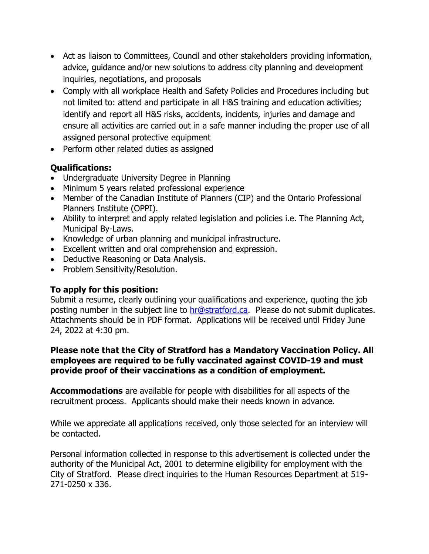- Act as liaison to Committees, Council and other stakeholders providing information, advice, guidance and/or new solutions to address city planning and development inquiries, negotiations, and proposals
- Comply with all workplace Health and Safety Policies and Procedures including but not limited to: attend and participate in all H&S training and education activities; identify and report all H&S risks, accidents, incidents, injuries and damage and ensure all activities are carried out in a safe manner including the proper use of all assigned personal protective equipment
- Perform other related duties as assigned

## **Qualifications:**

- Undergraduate University Degree in Planning
- Minimum 5 years related professional experience
- Member of the Canadian Institute of Planners (CIP) and the Ontario Professional Planners Institute (OPPI).
- Ability to interpret and apply related legislation and policies i.e. The Planning Act, Municipal By-Laws.
- Knowledge of urban planning and municipal infrastructure.
- Excellent written and oral comprehension and expression.
- Deductive Reasoning or Data Analysis.
- Problem Sensitivity/Resolution.

### **To apply for this position:**

Submit a resume, clearly outlining your qualifications and experience, quoting the job posting number in the subject line to [hr@stratford.ca.](mailto:hr@stratford.ca) Please do not submit duplicates. Attachments should be in PDF format. Applications will be received until Friday June 24, 2022 at 4:30 pm.

#### **Please note that the City of Stratford has a Mandatory Vaccination Policy. All employees are required to be fully vaccinated against COVID-19 and must provide proof of their vaccinations as a condition of employment.**

**Accommodations** are available for people with disabilities for all aspects of the recruitment process. Applicants should make their needs known in advance.

While we appreciate all applications received, only those selected for an interview will be contacted.

Personal information collected in response to this advertisement is collected under the authority of the Municipal Act, 2001 to determine eligibility for employment with the City of Stratford. Please direct inquiries to the Human Resources Department at 519- 271-0250 x 336.